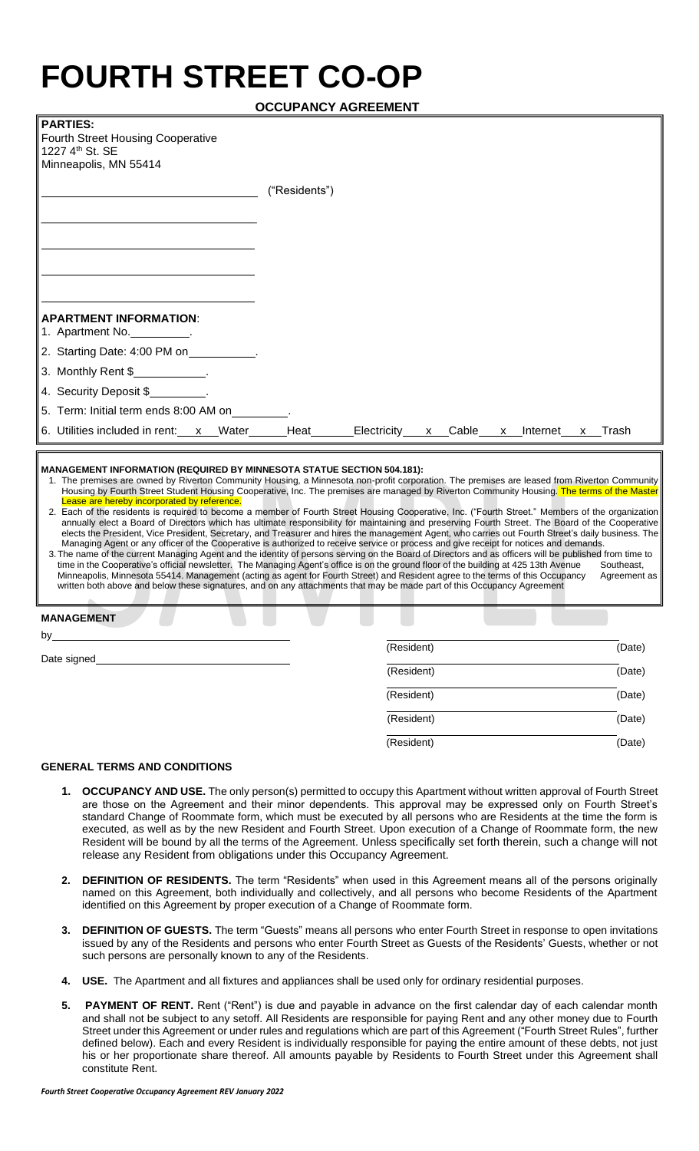## **FOURTH STREET CO-OP**

| PARTIES:                                                                                                                                                    |               |  |  |  |  |
|-------------------------------------------------------------------------------------------------------------------------------------------------------------|---------------|--|--|--|--|
| Fourth Street Housing Cooperative                                                                                                                           |               |  |  |  |  |
| ∥1227 4 <sup>th</sup> St. SE<br>Minneapolis, MN 55414                                                                                                       |               |  |  |  |  |
|                                                                                                                                                             |               |  |  |  |  |
|                                                                                                                                                             | ("Residents") |  |  |  |  |
|                                                                                                                                                             |               |  |  |  |  |
|                                                                                                                                                             |               |  |  |  |  |
|                                                                                                                                                             |               |  |  |  |  |
|                                                                                                                                                             |               |  |  |  |  |
|                                                                                                                                                             |               |  |  |  |  |
|                                                                                                                                                             |               |  |  |  |  |
| <b>APARTMENT INFORMATION:</b>                                                                                                                               |               |  |  |  |  |
| 1. Apartment No. $\frac{1}{2}$ .                                                                                                                            |               |  |  |  |  |
| 2. Starting Date: 4:00 PM on__________                                                                                                                      |               |  |  |  |  |
|                                                                                                                                                             |               |  |  |  |  |
| $\parallel$ 3. Monthly Rent \$ $\_\_\_\_\_\_\_\_\_\_\$ .                                                                                                    |               |  |  |  |  |
| $\parallel$ 4. Security Deposit \$_________.                                                                                                                |               |  |  |  |  |
| 5. Term: Initial term ends 8:00 AM on                                                                                                                       |               |  |  |  |  |
| $\parallel$ 6. Utilities included in rent:___ <u>x__</u> Water______Heat_______Electricity____ <u>x__</u> Cable___ <u>x__</u> Internet___ <u>x__</u> Trash_ |               |  |  |  |  |
|                                                                                                                                                             |               |  |  |  |  |
| $\parallel$ MANAGEMENT INFORMATION (REQUIRED BY MINNESOTA STATUE SECTION 504.181):                                                                          |               |  |  |  |  |

- 1. The premises are owned by Riverton Community Housing, a Minnesota non-profit corporation. The premises are leased from Riverton Community Housing by Fourth Street Student Housing Cooperative, Inc. The premises are managed by Riverton Community Housing. The terms of the Ma ease are hereby incorporated by reference.
- 2. Each of the residents is required to become a member of Fourth Street Housing Cooperative, Inc. ("Fourth Street." Members of the organization annually elect a Board of Directors which has ultimate responsibility for maintaining and preserving Fourth Street. The Board of the Cooperative elects the President, Vice President, Secretary, and Treasurer and hires the management Agent, who carries out Fourth Street's daily business. The Managing Agent or any officer of the Cooperative is authorized to receive service or process and give receipt for notices and demands. 3.The name of the current Managing Agent and the identity of persons serving on the Board of Directors and as officers will be published from time to
- time in the Cooperative's official newsletter. The Managing Agent's office is on the ground floor of the building at 425 13th Avenue Southeast, Minneapolis, Minnesota 55414. Management (acting as agent for Fourth Street) and Resident agree to the terms of this Occupancy Agreement as written both above and below these signatures, and on any attachments that may be made part of this Occupancy Agreement

| <b>MANAGEMENT</b> |            |        |
|-------------------|------------|--------|
| by                | (Resident) | (Date) |
| Date signed       | (Resident) | (Date) |
|                   | (Resident) | (Date) |
|                   | (Resident) | (Date) |
|                   | (Resident) | (Date) |
|                   |            |        |

## **GENERAL TERMS AND CONDITIONS**

- **1. OCCUPANCY AND USE.** The only person(s) permitted to occupy this Apartment without written approval of Fourth Street are those on the Agreement and their minor dependents. This approval may be expressed only on Fourth Street's standard Change of Roommate form, which must be executed by all persons who are Residents at the time the form is executed, as well as by the new Resident and Fourth Street. Upon execution of a Change of Roommate form, the new Resident will be bound by all the terms of the Agreement. Unless specifically set forth therein, such a change will not release any Resident from obligations under this Occupancy Agreement.
- **2. DEFINITION OF RESIDENTS.** The term "Residents" when used in this Agreement means all of the persons originally named on this Agreement, both individually and collectively, and all persons who become Residents of the Apartment identified on this Agreement by proper execution of a Change of Roommate form.
- **3. DEFINITION OF GUESTS.** The term "Guests" means all persons who enter Fourth Street in response to open invitations issued by any of the Residents and persons who enter Fourth Street as Guests of the Residents' Guests, whether or not such persons are personally known to any of the Residents.
- **4. USE.** The Apartment and all fixtures and appliances shall be used only for ordinary residential purposes.
- **5. PAYMENT OF RENT.** Rent ("Rent") is due and payable in advance on the first calendar day of each calendar month and shall not be subject to any setoff. All Residents are responsible for paying Rent and any other money due to Fourth Street under this Agreement or under rules and regulations which are part of this Agreement ("Fourth Street Rules", further defined below). Each and every Resident is individually responsible for paying the entire amount of these debts, not just his or her proportionate share thereof. All amounts payable by Residents to Fourth Street under this Agreement shall constitute Rent.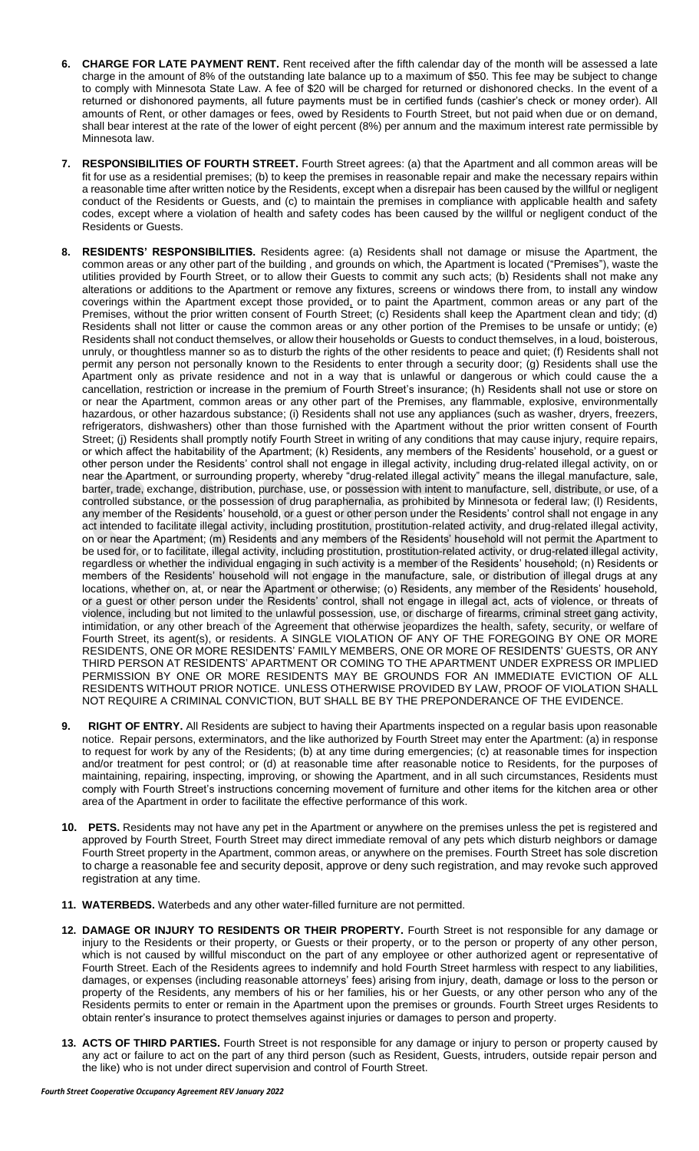- **6. CHARGE FOR LATE PAYMENT RENT.** Rent received after the fifth calendar day of the month will be assessed a late charge in the amount of 8% of the outstanding late balance up to a maximum of \$50. This fee may be subject to change to comply with Minnesota State Law. A fee of \$20 will be charged for returned or dishonored checks. In the event of a returned or dishonored payments, all future payments must be in certified funds (cashier's check or money order). All amounts of Rent, or other damages or fees, owed by Residents to Fourth Street, but not paid when due or on demand, shall bear interest at the rate of the lower of eight percent (8%) per annum and the maximum interest rate permissible by Minnesota law.
- **7. RESPONSIBILITIES OF FOURTH STREET.** Fourth Street agrees: (a) that the Apartment and all common areas will be fit for use as a residential premises; (b) to keep the premises in reasonable repair and make the necessary repairs within a reasonable time after written notice by the Residents, except when a disrepair has been caused by the willful or negligent conduct of the Residents or Guests, and (c) to maintain the premises in compliance with applicable health and safety codes, except where a violation of health and safety codes has been caused by the willful or negligent conduct of the Residents or Guests.
- **8. RESIDENTS' RESPONSIBILITIES.** Residents agree: (a) Residents shall not damage or misuse the Apartment, the common areas or any other part of the building , and grounds on which, the Apartment is located ("Premises"), waste the utilities provided by Fourth Street, or to allow their Guests to commit any such acts; (b) Residents shall not make any alterations or additions to the Apartment or remove any fixtures, screens or windows there from, to install any window coverings within the Apartment except those provided, or to paint the Apartment, common areas or any part of the Premises, without the prior written consent of Fourth Street; (c) Residents shall keep the Apartment clean and tidy; (d) Residents shall not litter or cause the common areas or any other portion of the Premises to be unsafe or untidy; (e) Residents shall not conduct themselves, or allow their households or Guests to conduct themselves, in a loud, boisterous, unruly, or thoughtless manner so as to disturb the rights of the other residents to peace and quiet; (f) Residents shall not permit any person not personally known to the Residents to enter through a security door; (g) Residents shall use the Apartment only as private residence and not in a way that is unlawful or dangerous or which could cause the a cancellation, restriction or increase in the premium of Fourth Street's insurance; (h) Residents shall not use or store on or near the Apartment, common areas or any other part of the Premises, any flammable, explosive, environmentally hazardous, or other hazardous substance; (i) Residents shall not use any appliances (such as washer, dryers, freezers, refrigerators, dishwashers) other than those furnished with the Apartment without the prior written consent of Fourth Street; (j) Residents shall promptly notify Fourth Street in writing of any conditions that may cause injury, require repairs, or which affect the habitability of the Apartment; (k) Residents, any members of the Residents' household, or a guest or other person under the Residents' control shall not engage in illegal activity, including drug-related illegal activity, on or near the Apartment, or surrounding property, whereby "drug-related illegal activity" means the illegal manufacture, sale, barter, trade, exchange, distribution, purchase, use, or possession with intent to manufacture, sell, distribute, or use, of a controlled substance, or the possession of drug paraphernalia, as prohibited by Minnesota or federal law; (l) Residents, any member of the Residents' household, or a guest or other person under the Residents' control shall not engage in any act intended to facilitate illegal activity, including prostitution, prostitution-related activity, and drug-related illegal activity, on or near the Apartment; (m) Residents and any members of the Residents' household will not permit the Apartment to be used for, or to facilitate, illegal activity, including prostitution, prostitution-related activity, or drug-related illegal activity, regardless or whether the individual engaging in such activity is a member of the Residents' household; (n) Residents or members of the Residents' household will not engage in the manufacture, sale, or distribution of illegal drugs at any locations, whether on, at, or near the Apartment or otherwise; (o) Residents, any member of the Residents' household, or a guest or other person under the Residents' control, shall not engage in illegal act, acts of violence, or threats of violence, including but not limited to the unlawful possession, use, or discharge of firearms, criminal street gang activity, intimidation, or any other breach of the Agreement that otherwise jeopardizes the health, safety, security, or welfare of Fourth Street, its agent(s), or residents. A SINGLE VIOLATION OF ANY OF THE FOREGOING BY ONE OR MORE RESIDENTS, ONE OR MORE RESIDENTS' FAMILY MEMBERS, ONE OR MORE OF RESIDENTS' GUESTS, OR ANY THIRD PERSON AT RESIDENTS' APARTMENT OR COMING TO THE APARTMENT UNDER EXPRESS OR IMPLIED PERMISSION BY ONE OR MORE RESIDENTS MAY BE GROUNDS FOR AN IMMEDIATE EVICTION OF ALL RESIDENTS WITHOUT PRIOR NOTICE. UNLESS OTHERWISE PROVIDED BY LAW, PROOF OF VIOLATION SHALL NOT REQUIRE A CRIMINAL CONVICTION, BUT SHALL BE BY THE PREPONDERANCE OF THE EVIDENCE.
- **9. RIGHT OF ENTRY.** All Residents are subject to having their Apartments inspected on a regular basis upon reasonable notice. Repair persons, exterminators, and the like authorized by Fourth Street may enter the Apartment: (a) in response to request for work by any of the Residents; (b) at any time during emergencies; (c) at reasonable times for inspection and/or treatment for pest control; or (d) at reasonable time after reasonable notice to Residents, for the purposes of maintaining, repairing, inspecting, improving, or showing the Apartment, and in all such circumstances, Residents must comply with Fourth Street's instructions concerning movement of furniture and other items for the kitchen area or other area of the Apartment in order to facilitate the effective performance of this work.
- **10. PETS.** Residents may not have any pet in the Apartment or anywhere on the premises unless the pet is registered and approved by Fourth Street, Fourth Street may direct immediate removal of any pets which disturb neighbors or damage Fourth Street property in the Apartment, common areas, or anywhere on the premises. Fourth Street has sole discretion to charge a reasonable fee and security deposit, approve or deny such registration, and may revoke such approved registration at any time.
- **11. WATERBEDS.** Waterbeds and any other water-filled furniture are not permitted.
- **12. DAMAGE OR INJURY TO RESIDENTS OR THEIR PROPERTY.** Fourth Street is not responsible for any damage or injury to the Residents or their property, or Guests or their property, or to the person or property of any other person, which is not caused by willful misconduct on the part of any employee or other authorized agent or representative of Fourth Street. Each of the Residents agrees to indemnify and hold Fourth Street harmless with respect to any liabilities, damages, or expenses (including reasonable attorneys' fees) arising from injury, death, damage or loss to the person or property of the Residents, any members of his or her families, his or her Guests, or any other person who any of the Residents permits to enter or remain in the Apartment upon the premises or grounds. Fourth Street urges Residents to obtain renter's insurance to protect themselves against injuries or damages to person and property.
- **13. ACTS OF THIRD PARTIES.** Fourth Street is not responsible for any damage or injury to person or property caused by any act or failure to act on the part of any third person (such as Resident, Guests, intruders, outside repair person and the like) who is not under direct supervision and control of Fourth Street.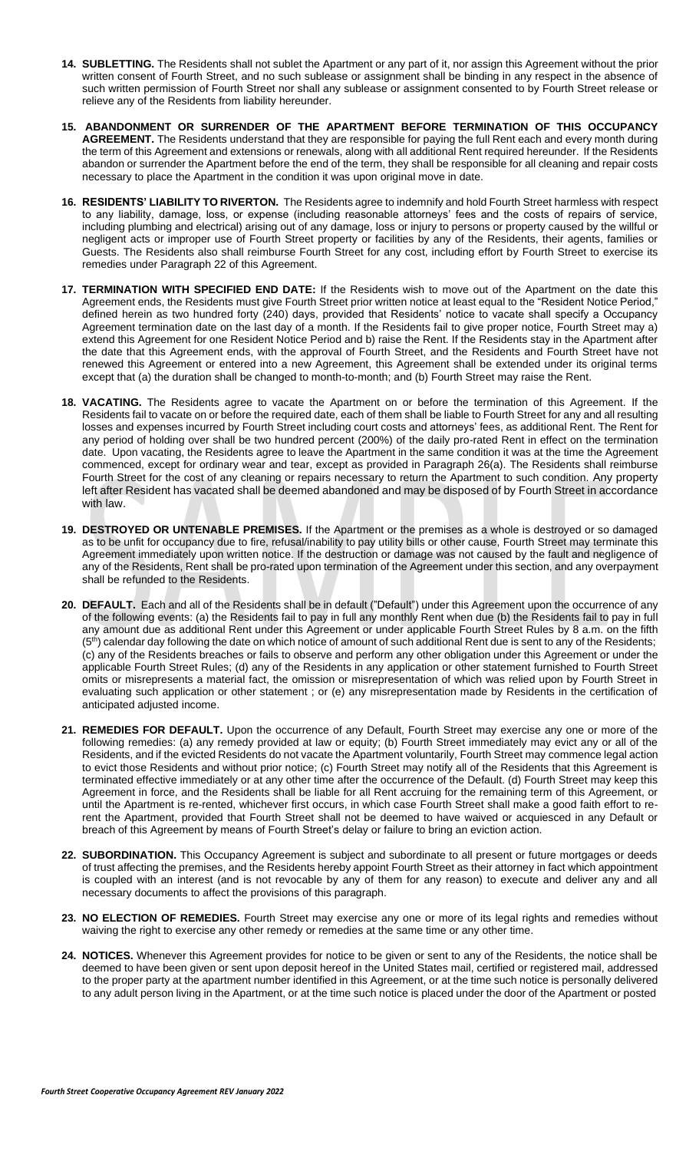- **14. SUBLETTING.** The Residents shall not sublet the Apartment or any part of it, nor assign this Agreement without the prior written consent of Fourth Street, and no such sublease or assignment shall be binding in any respect in the absence of such written permission of Fourth Street nor shall any sublease or assignment consented to by Fourth Street release or relieve any of the Residents from liability hereunder.
- **15. ABANDONMENT OR SURRENDER OF THE APARTMENT BEFORE TERMINATION OF THIS OCCUPANCY AGREEMENT.** The Residents understand that they are responsible for paying the full Rent each and every month during the term of this Agreement and extensions or renewals, along with all additional Rent required hereunder. If the Residents abandon or surrender the Apartment before the end of the term, they shall be responsible for all cleaning and repair costs necessary to place the Apartment in the condition it was upon original move in date.
- **16. RESIDENTS' LIABILITY TO RIVERTON.** The Residents agree to indemnify and hold Fourth Street harmless with respect to any liability, damage, loss, or expense (including reasonable attorneys' fees and the costs of repairs of service, including plumbing and electrical) arising out of any damage, loss or injury to persons or property caused by the willful or negligent acts or improper use of Fourth Street property or facilities by any of the Residents, their agents, families or Guests. The Residents also shall reimburse Fourth Street for any cost, including effort by Fourth Street to exercise its remedies under Paragraph 22 of this Agreement.
- **17. TERMINATION WITH SPECIFIED END DATE:** If the Residents wish to move out of the Apartment on the date this Agreement ends, the Residents must give Fourth Street prior written notice at least equal to the "Resident Notice Period," defined herein as two hundred forty (240) days, provided that Residents' notice to vacate shall specify a Occupancy Agreement termination date on the last day of a month. If the Residents fail to give proper notice, Fourth Street may a) extend this Agreement for one Resident Notice Period and b) raise the Rent. If the Residents stay in the Apartment after the date that this Agreement ends, with the approval of Fourth Street, and the Residents and Fourth Street have not renewed this Agreement or entered into a new Agreement, this Agreement shall be extended under its original terms except that (a) the duration shall be changed to month-to-month; and (b) Fourth Street may raise the Rent.
- **18. VACATING.** The Residents agree to vacate the Apartment on or before the termination of this Agreement. If the Residents fail to vacate on or before the required date, each of them shall be liable to Fourth Street for any and all resulting losses and expenses incurred by Fourth Street including court costs and attorneys' fees, as additional Rent. The Rent for any period of holding over shall be two hundred percent (200%) of the daily pro-rated Rent in effect on the termination date. Upon vacating, the Residents agree to leave the Apartment in the same condition it was at the time the Agreement commenced, except for ordinary wear and tear, except as provided in Paragraph 26(a). The Residents shall reimburse Fourth Street for the cost of any cleaning or repairs necessary to return the Apartment to such condition. Any property left after Resident has vacated shall be deemed abandoned and may be disposed of by Fourth Street in accordance with law.
- **19. DESTROYED OR UNTENABLE PREMISES.** If the Apartment or the premises as a whole is destroyed or so damaged as to be unfit for occupancy due to fire, refusal/inability to pay utility bills or other cause, Fourth Street may terminate this Agreement immediately upon written notice. If the destruction or damage was not caused by the fault and negligence of any of the Residents, Rent shall be pro-rated upon termination of the Agreement under this section, and any overpayment shall be refunded to the Residents.
- **20. DEFAULT.** Each and all of the Residents shall be in default ("Default") under this Agreement upon the occurrence of any of the following events: (a) the Residents fail to pay in full any monthly Rent when due (b) the Residents fail to pay in full any amount due as additional Rent under this Agreement or under applicable Fourth Street Rules by 8 a.m. on the fifth  $(5<sup>th</sup>)$  calendar day following the date on which notice of amount of such additional Rent due is sent to any of the Residents; (c) any of the Residents breaches or fails to observe and perform any other obligation under this Agreement or under the applicable Fourth Street Rules; (d) any of the Residents in any application or other statement furnished to Fourth Street omits or misrepresents a material fact, the omission or misrepresentation of which was relied upon by Fourth Street in evaluating such application or other statement ; or (e) any misrepresentation made by Residents in the certification of anticipated adjusted income.
- **21. REMEDIES FOR DEFAULT.** Upon the occurrence of any Default, Fourth Street may exercise any one or more of the following remedies: (a) any remedy provided at law or equity; (b) Fourth Street immediately may evict any or all of the Residents, and if the evicted Residents do not vacate the Apartment voluntarily, Fourth Street may commence legal action to evict those Residents and without prior notice; (c) Fourth Street may notify all of the Residents that this Agreement is terminated effective immediately or at any other time after the occurrence of the Default. (d) Fourth Street may keep this Agreement in force, and the Residents shall be liable for all Rent accruing for the remaining term of this Agreement, or until the Apartment is re-rented, whichever first occurs, in which case Fourth Street shall make a good faith effort to rerent the Apartment, provided that Fourth Street shall not be deemed to have waived or acquiesced in any Default or breach of this Agreement by means of Fourth Street's delay or failure to bring an eviction action.
- **22. SUBORDINATION.** This Occupancy Agreement is subject and subordinate to all present or future mortgages or deeds of trust affecting the premises, and the Residents hereby appoint Fourth Street as their attorney in fact which appointment is coupled with an interest (and is not revocable by any of them for any reason) to execute and deliver any and all necessary documents to affect the provisions of this paragraph.
- **23. NO ELECTION OF REMEDIES.** Fourth Street may exercise any one or more of its legal rights and remedies without waiving the right to exercise any other remedy or remedies at the same time or any other time.
- **24. NOTICES.** Whenever this Agreement provides for notice to be given or sent to any of the Residents, the notice shall be deemed to have been given or sent upon deposit hereof in the United States mail, certified or registered mail, addressed to the proper party at the apartment number identified in this Agreement, or at the time such notice is personally delivered to any adult person living in the Apartment, or at the time such notice is placed under the door of the Apartment or posted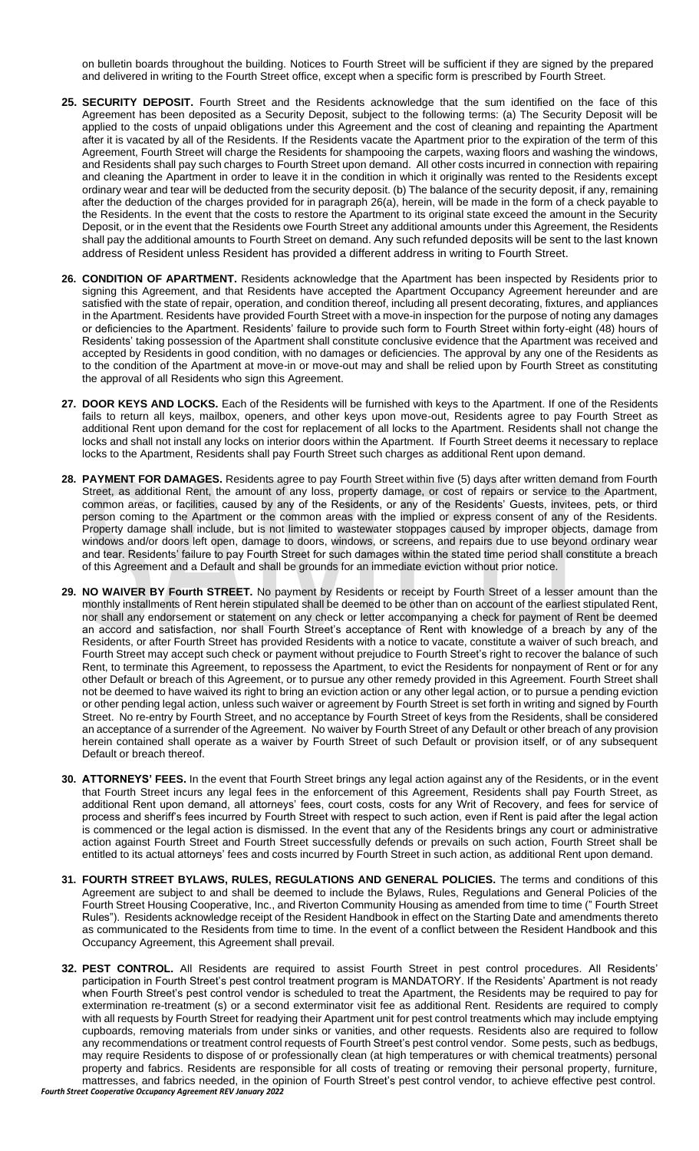on bulletin boards throughout the building. Notices to Fourth Street will be sufficient if they are signed by the prepared and delivered in writing to the Fourth Street office, except when a specific form is prescribed by Fourth Street.

- **25. SECURITY DEPOSIT.** Fourth Street and the Residents acknowledge that the sum identified on the face of this Agreement has been deposited as a Security Deposit, subject to the following terms: (a) The Security Deposit will be applied to the costs of unpaid obligations under this Agreement and the cost of cleaning and repainting the Apartment after it is vacated by all of the Residents. If the Residents vacate the Apartment prior to the expiration of the term of this Agreement, Fourth Street will charge the Residents for shampooing the carpets, waxing floors and washing the windows, and Residents shall pay such charges to Fourth Street upon demand. All other costs incurred in connection with repairing and cleaning the Apartment in order to leave it in the condition in which it originally was rented to the Residents except ordinary wear and tear will be deducted from the security deposit. (b) The balance of the security deposit, if any, remaining after the deduction of the charges provided for in paragraph 26(a), herein, will be made in the form of a check payable to the Residents. In the event that the costs to restore the Apartment to its original state exceed the amount in the Security Deposit, or in the event that the Residents owe Fourth Street any additional amounts under this Agreement, the Residents shall pay the additional amounts to Fourth Street on demand. Any such refunded deposits will be sent to the last known address of Resident unless Resident has provided a different address in writing to Fourth Street.
- **26. CONDITION OF APARTMENT.** Residents acknowledge that the Apartment has been inspected by Residents prior to signing this Agreement, and that Residents have accepted the Apartment Occupancy Agreement hereunder and are satisfied with the state of repair, operation, and condition thereof, including all present decorating, fixtures, and appliances in the Apartment. Residents have provided Fourth Street with a move-in inspection for the purpose of noting any damages or deficiencies to the Apartment. Residents' failure to provide such form to Fourth Street within forty-eight (48) hours of Residents' taking possession of the Apartment shall constitute conclusive evidence that the Apartment was received and accepted by Residents in good condition, with no damages or deficiencies. The approval by any one of the Residents as to the condition of the Apartment at move-in or move-out may and shall be relied upon by Fourth Street as constituting the approval of all Residents who sign this Agreement.
- **27. DOOR KEYS AND LOCKS.** Each of the Residents will be furnished with keys to the Apartment. If one of the Residents fails to return all keys, mailbox, openers, and other keys upon move-out, Residents agree to pay Fourth Street as additional Rent upon demand for the cost for replacement of all locks to the Apartment. Residents shall not change the locks and shall not install any locks on interior doors within the Apartment. If Fourth Street deems it necessary to replace locks to the Apartment, Residents shall pay Fourth Street such charges as additional Rent upon demand.
- **28. PAYMENT FOR DAMAGES.** Residents agree to pay Fourth Street within five (5) days after written demand from Fourth Street, as additional Rent, the amount of any loss, property damage, or cost of repairs or service to the Apartment, common areas, or facilities, caused by any of the Residents, or any of the Residents' Guests, invitees, pets, or third person coming to the Apartment or the common areas with the implied or express consent of any of the Residents. Property damage shall include, but is not limited to wastewater stoppages caused by improper objects, damage from windows and/or doors left open, damage to doors, windows, or screens, and repairs due to use beyond ordinary wear and tear. Residents' failure to pay Fourth Street for such damages within the stated time period shall constitute a breach of this Agreement and a Default and shall be grounds for an immediate eviction without prior notice.
- **29. NO WAIVER BY Fourth STREET.** No payment by Residents or receipt by Fourth Street of a lesser amount than the monthly installments of Rent herein stipulated shall be deemed to be other than on account of the earliest stipulated Rent, nor shall any endorsement or statement on any check or letter accompanying a check for payment of Rent be deemed an accord and satisfaction, nor shall Fourth Street's acceptance of Rent with knowledge of a breach by any of the Residents, or after Fourth Street has provided Residents with a notice to vacate, constitute a waiver of such breach, and Fourth Street may accept such check or payment without prejudice to Fourth Street's right to recover the balance of such Rent, to terminate this Agreement, to repossess the Apartment, to evict the Residents for nonpayment of Rent or for any other Default or breach of this Agreement, or to pursue any other remedy provided in this Agreement. Fourth Street shall not be deemed to have waived its right to bring an eviction action or any other legal action, or to pursue a pending eviction or other pending legal action, unless such waiver or agreement by Fourth Street is set forth in writing and signed by Fourth Street. No re-entry by Fourth Street, and no acceptance by Fourth Street of keys from the Residents, shall be considered an acceptance of a surrender of the Agreement. No waiver by Fourth Street of any Default or other breach of any provision herein contained shall operate as a waiver by Fourth Street of such Default or provision itself, or of any subsequent Default or breach thereof.
- **30. ATTORNEYS' FEES.** In the event that Fourth Street brings any legal action against any of the Residents, or in the event that Fourth Street incurs any legal fees in the enforcement of this Agreement, Residents shall pay Fourth Street, as additional Rent upon demand, all attorneys' fees, court costs, costs for any Writ of Recovery, and fees for service of process and sheriff's fees incurred by Fourth Street with respect to such action, even if Rent is paid after the legal action is commenced or the legal action is dismissed. In the event that any of the Residents brings any court or administrative action against Fourth Street and Fourth Street successfully defends or prevails on such action, Fourth Street shall be entitled to its actual attorneys' fees and costs incurred by Fourth Street in such action, as additional Rent upon demand.
- **31. FOURTH STREET BYLAWS, RULES, REGULATIONS AND GENERAL POLICIES.** The terms and conditions of this Agreement are subject to and shall be deemed to include the Bylaws, Rules, Regulations and General Policies of the Fourth Street Housing Cooperative, Inc., and Riverton Community Housing as amended from time to time (" Fourth Street Rules"). Residents acknowledge receipt of the Resident Handbook in effect on the Starting Date and amendments thereto as communicated to the Residents from time to time. In the event of a conflict between the Resident Handbook and this Occupancy Agreement, this Agreement shall prevail.
- **32. PEST CONTROL.** All Residents are required to assist Fourth Street in pest control procedures. All Residents' participation in Fourth Street's pest control treatment program is MANDATORY. If the Residents' Apartment is not ready when Fourth Street's pest control vendor is scheduled to treat the Apartment, the Residents may be required to pay for extermination re-treatment (s) or a second exterminator visit fee as additional Rent. Residents are required to comply with all requests by Fourth Street for readying their Apartment unit for pest control treatments which may include emptying cupboards, removing materials from under sinks or vanities, and other requests. Residents also are required to follow any recommendations or treatment control requests of Fourth Street's pest control vendor. Some pests, such as bedbugs, may require Residents to dispose of or professionally clean (at high temperatures or with chemical treatments) personal property and fabrics. Residents are responsible for all costs of treating or removing their personal property, furniture, mattresses, and fabrics needed, in the opinion of Fourth Street's pest control vendor, to achieve effective pest control.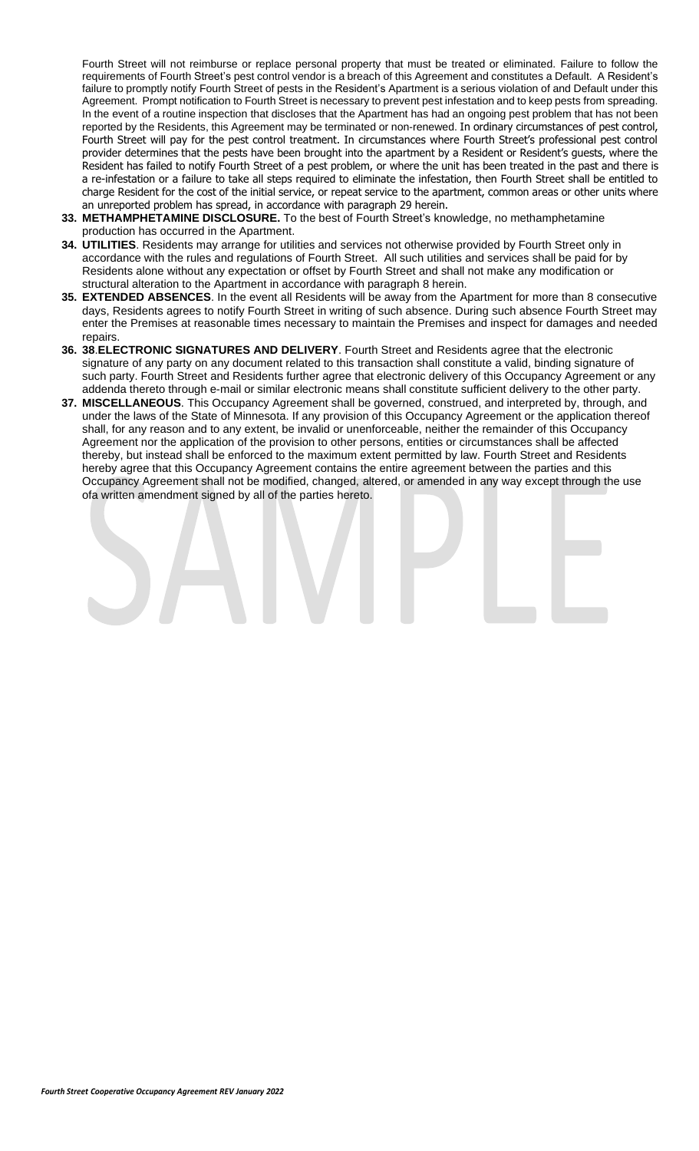Fourth Street will not reimburse or replace personal property that must be treated or eliminated. Failure to follow the requirements of Fourth Street's pest control vendor is a breach of this Agreement and constitutes a Default. A Resident's failure to promptly notify Fourth Street of pests in the Resident's Apartment is a serious violation of and Default under this Agreement. Prompt notification to Fourth Street is necessary to prevent pest infestation and to keep pests from spreading. In the event of a routine inspection that discloses that the Apartment has had an ongoing pest problem that has not been reported by the Residents, this Agreement may be terminated or non-renewed. In ordinary circumstances of pest control, Fourth Street will pay for the pest control treatment. In circumstances where Fourth Street's professional pest control provider determines that the pests have been brought into the apartment by a Resident or Resident's guests, where the Resident has failed to notify Fourth Street of a pest problem, or where the unit has been treated in the past and there is a re-infestation or a failure to take all steps required to eliminate the infestation, then Fourth Street shall be entitled to charge Resident for the cost of the initial service, or repeat service to the apartment, common areas or other units where an unreported problem has spread, in accordance with paragraph 29 herein.

- **33. METHAMPHETAMINE DISCLOSURE.** To the best of Fourth Street's knowledge, no methamphetamine production has occurred in the Apartment.
- **34. UTILITIES**. Residents may arrange for utilities and services not otherwise provided by Fourth Street only in accordance with the rules and regulations of Fourth Street. All such utilities and services shall be paid for by Residents alone without any expectation or offset by Fourth Street and shall not make any modification or structural alteration to the Apartment in accordance with paragraph 8 herein.
- **35. EXTENDED ABSENCES**. In the event all Residents will be away from the Apartment for more than 8 consecutive days, Residents agrees to notify Fourth Street in writing of such absence. During such absence Fourth Street may enter the Premises at reasonable times necessary to maintain the Premises and inspect for damages and needed repairs.
- **36. 38**.**ELECTRONIC SIGNATURES AND DELIVERY**. Fourth Street and Residents agree that the electronic signature of any party on any document related to this transaction shall constitute a valid, binding signature of such party. Fourth Street and Residents further agree that electronic delivery of this Occupancy Agreement or any addenda thereto through e-mail or similar electronic means shall constitute sufficient delivery to the other party.
- **37. MISCELLANEOUS**. This Occupancy Agreement shall be governed, construed, and interpreted by, through, and under the laws of the State of Minnesota. If any provision of this Occupancy Agreement or the application thereof shall, for any reason and to any extent, be invalid or unenforceable, neither the remainder of this Occupancy Agreement nor the application of the provision to other persons, entities or circumstances shall be affected thereby, but instead shall be enforced to the maximum extent permitted by law. Fourth Street and Residents hereby agree that this Occupancy Agreement contains the entire agreement between the parties and this Occupancy Agreement shall not be modified, changed, altered, or amended in any way except through the use ofa written amendment signed by all of the parties hereto.